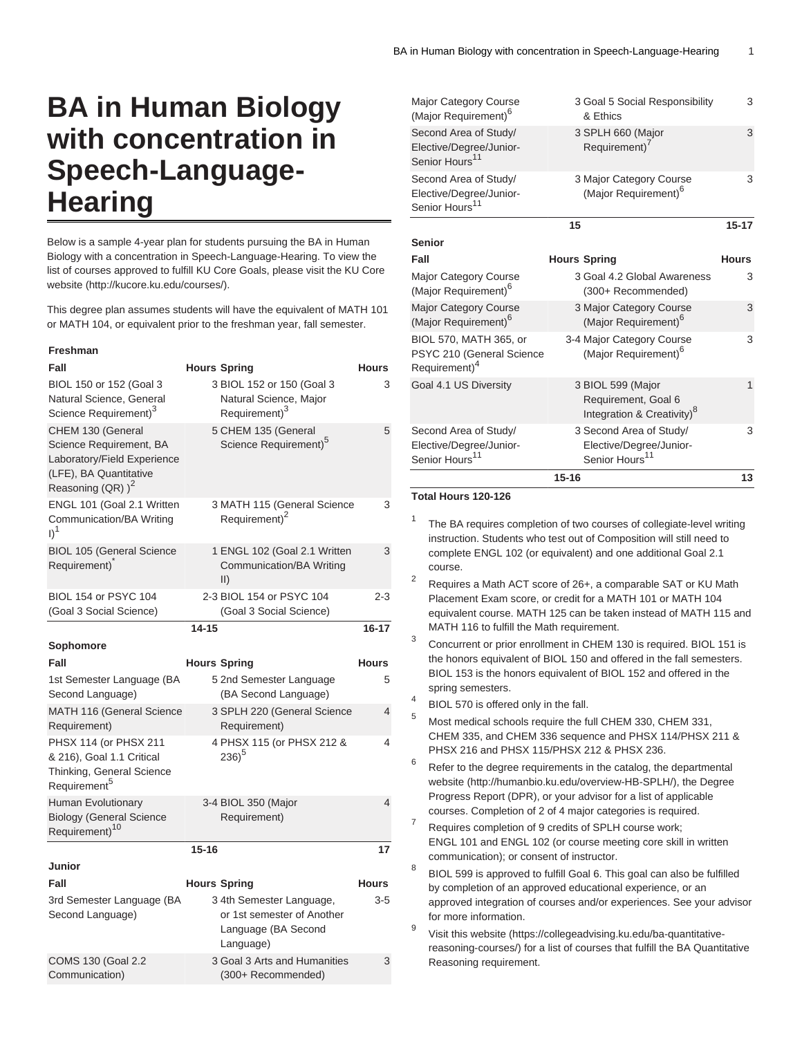## **BA in Human Biology with concentration in Speech-Language-Hearing**

Below is a sample 4-year plan for students pursuing the BA in Human Biology with a concentration in Speech-Language-Hearing. To view the list of courses approved to fulfill KU Core Goals, please visit the [KU Core](http://kucore.ku.edu/courses/) [website](http://kucore.ku.edu/courses/) [\(http://kucore.ku.edu/courses/\)](http://kucore.ku.edu/courses/).

This degree plan assumes students will have the equivalent of MATH 101 or MATH 104, or equivalent prior to the freshman year, fall semester.

## **Freshman**

| Fall                                                                                                                          |           | <b>Hours Spring</b>                                                                        | <b>Hours</b> |
|-------------------------------------------------------------------------------------------------------------------------------|-----------|--------------------------------------------------------------------------------------------|--------------|
| BIOL 150 or 152 (Goal 3<br>Natural Science, General<br>Science Requirement) <sup>3</sup>                                      |           | 3 BIOL 152 or 150 (Goal 3<br>Natural Science, Major<br>Requirement) <sup>3</sup>           | 3            |
| CHEM 130 (General<br>Science Requirement, BA<br>Laboratory/Field Experience<br>(LFE), BA Quantitative<br>Reasoning (QR) $)^2$ |           | 5 CHEM 135 (General<br>Science Requirement) <sup>5</sup>                                   | 5            |
| ENGL 101 (Goal 2.1 Written<br>Communication/BA Writing<br>$I)^1$                                                              |           | 3 MATH 115 (General Science<br>Requirement) <sup>2</sup>                                   | 3            |
| <b>BIOL 105 (General Science</b><br>Requirement)                                                                              |           | 1 ENGL 102 (Goal 2.1 Written<br>Communication/BA Writing<br>$\vert \vert$                  | 3            |
| BIOL 154 or PSYC 104<br>(Goal 3 Social Science)                                                                               |           | 2-3 BIOL 154 or PSYC 104<br>(Goal 3 Social Science)                                        | $2 - 3$      |
|                                                                                                                               | $14 - 15$ |                                                                                            | $16 - 17$    |
| Sophomore                                                                                                                     |           |                                                                                            |              |
| Fall                                                                                                                          |           | <b>Hours Spring</b>                                                                        | <b>Hours</b> |
| 1st Semester Language (BA<br>Second Language)                                                                                 |           | 5 2nd Semester Language<br>(BA Second Language)                                            | 5            |
| MATH 116 (General Science<br>Requirement)                                                                                     |           | 3 SPLH 220 (General Science<br>Requirement)                                                | 4            |
| PHSX 114 (or PHSX 211<br>& 216), Goal 1.1 Critical<br>Thinking, General Science<br>Requirement <sup>5</sup>                   |           | 4 PHSX 115 (or PHSX 212 &<br>$236)^5$                                                      | 4            |
| Human Evolutionary<br><b>Biology (General Science</b><br>Requirement) <sup>10</sup>                                           |           | 3-4 BIOL 350 (Major<br>Requirement)                                                        | 4            |
|                                                                                                                               | $15 - 16$ |                                                                                            | 17           |
| Junior                                                                                                                        |           |                                                                                            |              |
| Fall                                                                                                                          |           | <b>Hours Spring</b>                                                                        | <b>Hours</b> |
| 3rd Semester Language (BA<br>Second Language)                                                                                 |           | 3 4th Semester Language,<br>or 1st semester of Another<br>Language (BA Second<br>Language) | $3 - 5$      |
| COMS 130 (Goal 2.2<br>Communication)                                                                                          |           | 3 Goal 3 Arts and Humanities<br>(300+ Recommended)                                         | 3            |

| <b>Major Category Course</b><br>(Major Requirement) <sup>6</sup>                 | 3 Goal 5 Social Responsibility<br>& Ethics |                                                                                    | 3            |
|----------------------------------------------------------------------------------|--------------------------------------------|------------------------------------------------------------------------------------|--------------|
| Second Area of Study/<br>Elective/Degree/Junior-<br>Senior Hours <sup>11</sup>   |                                            | 3 SPLH 660 (Major<br>Requirement) <sup>7</sup>                                     | 3            |
| Second Area of Study/<br>Elective/Degree/Junior-<br>Senior Hours <sup>11</sup>   |                                            | 3 Major Category Course<br>(Major Requirement) <sup>6</sup>                        | 3            |
|                                                                                  | 15                                         |                                                                                    | $15 - 17$    |
| <b>Senior</b>                                                                    |                                            |                                                                                    |              |
| Fall                                                                             | <b>Hours Spring</b>                        |                                                                                    | <b>Hours</b> |
| <b>Major Category Course</b><br>(Major Requirement) <sup>6</sup>                 |                                            | 3 Goal 4.2 Global Awareness<br>(300+ Recommended)                                  | 3            |
| <b>Major Category Course</b><br>(Major Requirement) <sup>6</sup>                 |                                            | 3 Major Category Course<br>(Major Requirement) <sup>6</sup>                        | 3            |
| BIOL 570, MATH 365, or<br>PSYC 210 (General Science<br>Requirement) <sup>4</sup> |                                            | 3-4 Major Category Course<br>(Major Requirement) <sup>6</sup>                      | 3            |
| Goal 4.1 US Diversity                                                            |                                            | 3 BIOL 599 (Major<br>Requirement, Goal 6<br>Integration & Creativity) <sup>8</sup> | 1            |
| Second Area of Study/                                                            |                                            | 3 Second Area of Study/                                                            | 3            |
| Elective/Degree/Junior-<br>Senior Hours <sup>11</sup>                            |                                            | Elective/Degree/Junior-<br>Senior Hours <sup>11</sup>                              |              |
|                                                                                  |                                            |                                                                                    |              |
|                                                                                  | $15 - 16$                                  |                                                                                    | 13           |

## **Total Hours 120-126**

- 1 The BA requires completion of two courses of collegiate-level writing instruction. Students who test out of Composition will still need to complete ENGL 102 (or equivalent) and one additional Goal 2.1 course.
- 2 Requires a Math ACT score of 26+, a comparable SAT or KU Math Placement Exam score, or credit for a MATH 101 or MATH 104 equivalent course. MATH 125 can be taken instead of MATH 115 and MATH 116 to fulfill the Math requirement.
- 3 Concurrent or prior enrollment in CHEM 130 is required. BIOL 151 is the honors equivalent of BIOL 150 and offered in the fall semesters. BIOL 153 is the honors equivalent of BIOL 152 and offered in the spring semesters.
- 4 BIOL 570 is offered only in the fall.
- <sup>5</sup> Most medical schools require the full CHEM 330, CHEM 331, CHEM 335, and CHEM 336 sequence and PHSX 114/PHSX 211 & PHSX 216 and PHSX 115/PHSX 212 & PHSX 236.
- 6 Refer to the degree requirements in the catalog, the departmental [website](http://humanbio.ku.edu/overview-HB-SPLH/) [\(http://humanbio.ku.edu/overview-HB-SPLH/](http://humanbio.ku.edu/overview-HB-SPLH/)), the Degree Progress Report (DPR), or your advisor for a list of applicable courses. Completion of 2 of 4 major categories is required.
- 7 Requires completion of 9 credits of SPLH course work; ENGL 101 and ENGL 102 (or course meeting core skill in written communication); or consent of instructor.
- 8 BIOL 599 is approved to fulfill Goal 6. This goal can also be fulfilled by completion of an approved educational experience, or an approved integration of courses and/or experiences. See your advisor for more information.
- 9 Visit [this website](https://collegeadvising.ku.edu/ba-quantitative-reasoning-courses/) [\(https://collegeadvising.ku.edu/ba-quantitative](https://collegeadvising.ku.edu/ba-quantitative-reasoning-courses/)[reasoning-courses/](https://collegeadvising.ku.edu/ba-quantitative-reasoning-courses/)) for a list of courses that fulfill the BA Quantitative Reasoning requirement.